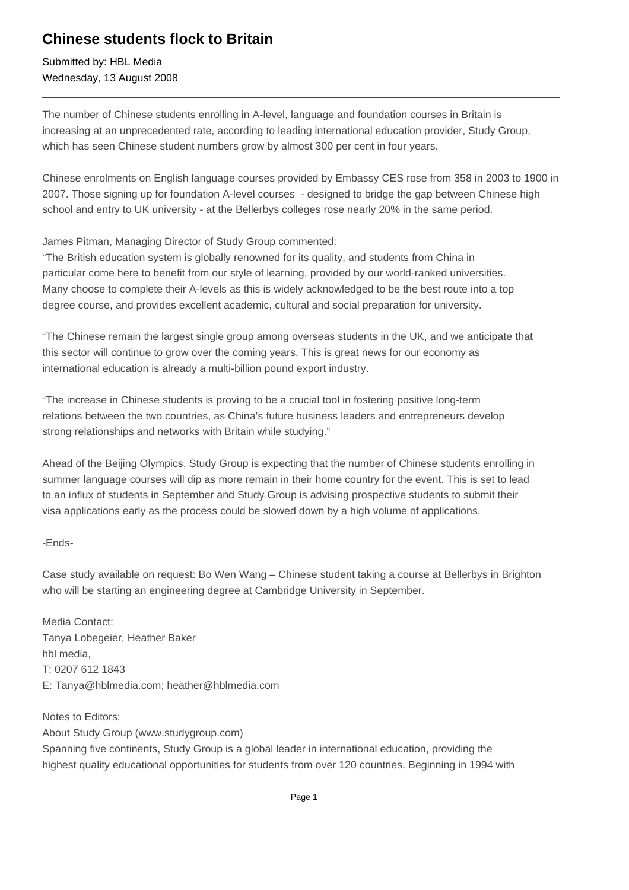## **Chinese students flock to Britain**

Submitted by: HBL Media Wednesday, 13 August 2008

The number of Chinese students enrolling in A-level, language and foundation courses in Britain is increasing at an unprecedented rate, according to leading international education provider, Study Group, which has seen Chinese student numbers grow by almost 300 per cent in four years.

Chinese enrolments on English language courses provided by Embassy CES rose from 358 in 2003 to 1900 in 2007. Those signing up for foundation A-level courses - designed to bridge the gap between Chinese high school and entry to UK university - at the Bellerbys colleges rose nearly 20% in the same period.

James Pitman, Managing Director of Study Group commented:

"The British education system is globally renowned for its quality, and students from China in particular come here to benefit from our style of learning, provided by our world-ranked universities. Many choose to complete their A-levels as this is widely acknowledged to be the best route into a top degree course, and provides excellent academic, cultural and social preparation for university.

"The Chinese remain the largest single group among overseas students in the UK, and we anticipate that this sector will continue to grow over the coming years. This is great news for our economy as international education is already a multi-billion pound export industry.

"The increase in Chinese students is proving to be a crucial tool in fostering positive long-term relations between the two countries, as China's future business leaders and entrepreneurs develop strong relationships and networks with Britain while studying."

Ahead of the Beijing Olympics, Study Group is expecting that the number of Chinese students enrolling in summer language courses will dip as more remain in their home country for the event. This is set to lead to an influx of students in September and Study Group is advising prospective students to submit their visa applications early as the process could be slowed down by a high volume of applications.

-Ends-

Case study available on request: Bo Wen Wang – Chinese student taking a course at Bellerbys in Brighton who will be starting an engineering degree at Cambridge University in September.

Media Contact: Tanya Lobegeier, Heather Baker hbl media, T: 0207 612 1843 E: Tanya@hblmedia.com; heather@hblmedia.com

Notes to Editors: About Study Group (www.studygroup.com) Spanning five continents, Study Group is a global leader in international education, providing the highest quality educational opportunities for students from over 120 countries. Beginning in 1994 with